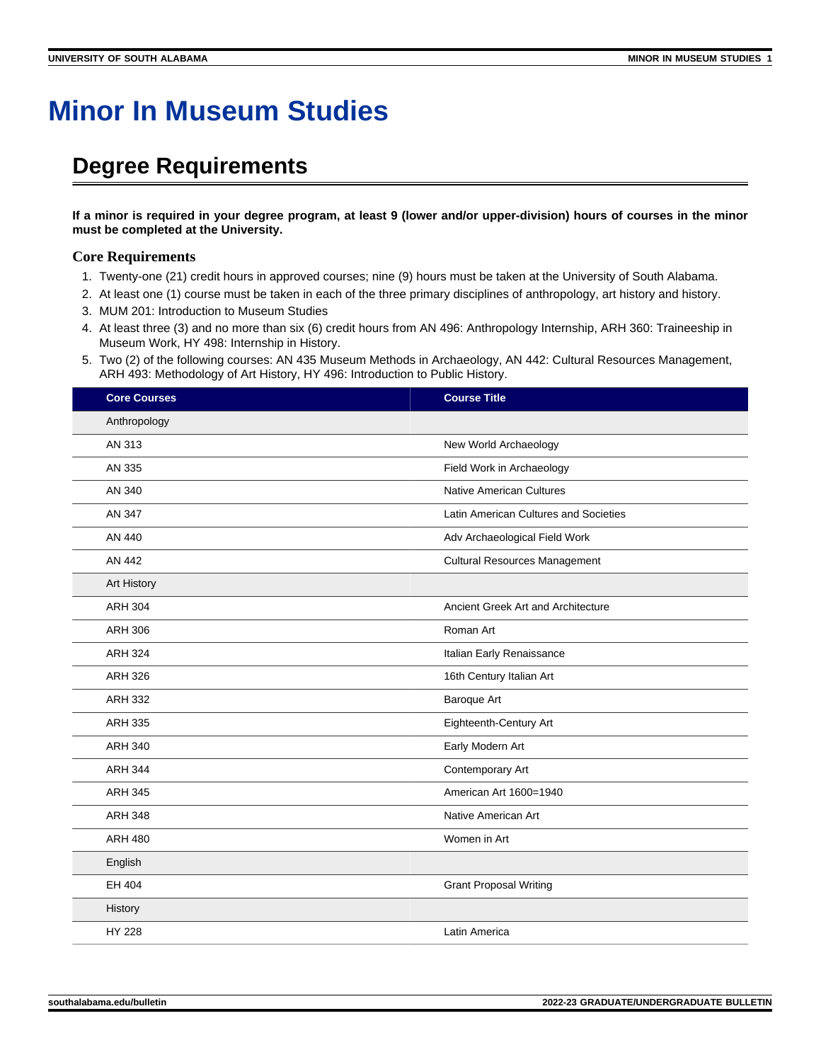## **Minor In Museum Studies**

## **Degree Requirements**

**If a minor is required in your degree program, at least 9 (lower and/or upper-division) hours of courses in the minor must be completed at the University.**

## **Core Requirements**

- 1. Twenty-one (21) credit hours in approved courses; nine (9) hours must be taken at the University of South Alabama.
- 2. At least one (1) course must be taken in each of the three primary disciplines of anthropology, art history and history.
- 3. MUM 201: Introduction to Museum Studies
- 4. At least three (3) and no more than six (6) credit hours from AN 496: Anthropology Internship, ARH 360: Traineeship in Museum Work, HY 498: Internship in History.
- 5. Two (2) of the following courses: AN 435 Museum Methods in Archaeology, AN 442: Cultural Resources Management, ARH 493: Methodology of Art History, HY 496: Introduction to Public History.

| <b>Core Courses</b> | <b>Course Title</b>                   |
|---------------------|---------------------------------------|
| Anthropology        |                                       |
| AN 313              | New World Archaeology                 |
| AN 335              | Field Work in Archaeology             |
| AN 340              | <b>Native American Cultures</b>       |
| AN 347              | Latin American Cultures and Societies |
| AN 440              | Adv Archaeological Field Work         |
| AN 442              | <b>Cultural Resources Management</b>  |
| Art History         |                                       |
| <b>ARH 304</b>      | Ancient Greek Art and Architecture    |
| <b>ARH 306</b>      | Roman Art                             |
| <b>ARH 324</b>      | Italian Early Renaissance             |
| <b>ARH 326</b>      | 16th Century Italian Art              |
| <b>ARH 332</b>      | Baroque Art                           |
| <b>ARH 335</b>      | Eighteenth-Century Art                |
| <b>ARH 340</b>      | Early Modern Art                      |
| <b>ARH 344</b>      | Contemporary Art                      |
| <b>ARH 345</b>      | American Art 1600=1940                |
| <b>ARH 348</b>      | Native American Art                   |
| <b>ARH 480</b>      | Women in Art                          |
| English             |                                       |
| EH 404              | <b>Grant Proposal Writing</b>         |
| History             |                                       |
| HY 228              | Latin America                         |